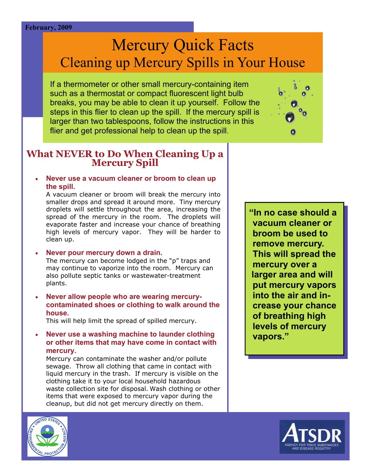#### **February, 2009**

# Mercury Quick Facts Cleaning up Mercury Spills in Your House

If a thermometer or other small mercury-containing item such as a thermostat or compact fluorescent light bulb breaks, you may be able to clean it up yourself. Follow the steps in this flier to clean up the spill. If the mercury spill is larger than two tablespoons, follow the instructions in this flier and get professional help to clean up the spill.



# **What NEVER to Do When Cleaning Up a Mercury Spill**

 **Never use a vacuum cleaner or broom to clean up the spill.** 

 clean up. A vacuum cleaner or broom will break the mercury into smaller drops and spread it around more. Tiny mercury droplets will settle throughout the area, increasing the spread of the mercury in the room. The droplets will evaporate faster and increase your chance of breathing high levels of mercury vapor. They will be harder to

#### **Never pour mercury down a drain.**

The mercury can become lodged in the "p" traps and may continue to vaporize into the room. Mercury can also pollute septic tanks or wastewater-treatment plants.

 **house. Never allow people who are wearing mercurycontaminated shoes or clothing to walk around the** 

This will help limit the spread of spilled mercury.

 **mercury. Never use a washing machine to launder clothing or other items that may have come in contact with** 

Mercury can contaminate the washer and/or pollute sewage. Throw all clothing that came in contact with liquid mercury in the trash. If mercury is visible on the clothing take it to your local household hazardous waste collection site for disposal. Wash clothing or other items that were exposed to mercury vapor during the cleanup, but did not get mercury directly on them.

remove mercury. **"In no case should a vacuum cleaner or broom be used to This will spread the mercury over a larger area and will put mercury vapors into the air and increase your chance of breathing high levels of mercury vapors."** 



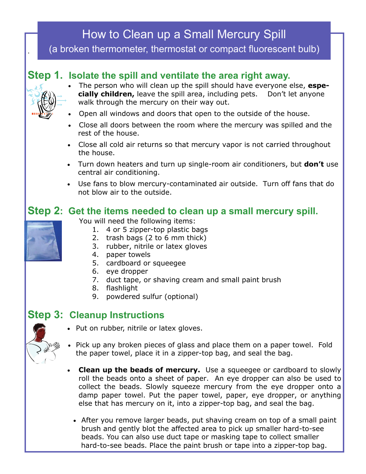# How to Clean up a Small Mercury Spill

(a broken thermometer, thermostat or compact fluorescent bulb)

#### **Step 1. Isolate the spill and ventilate the area right away.**



.

- **cially children,** leave the spill area, including pets. Don't let anyone The person who will clean up the spill should have everyone else, **espe**walk through the mercury on their way out.
- Open all windows and doors that open to the outside of the house.
- Close all doors between the room where the mercury was spilled and the rest of the house.
- Close all cold air returns so that mercury vapor is not carried throughout the house.
- Turn down heaters and turn up single-room air conditioners, but **don't** use central air conditioning.
- Use fans to blow mercury-contaminated air outside. Turn off fans that do not blow air to the outside.

#### **Step 2: Get the items needed to clean up a small mercury spill.**



- You will need the following items:
	- 1. 4 or 5 zipper-top plastic bags
	- 2. trash bags (2 to 6 mm thick)
	- 3. rubber, nitrile or latex gloves
	- 4. paper towels
	- 5. cardboard or squeegee
	- 6. eye dropper
	- 7. duct tape, or shaving cream and small paint brush
	- 8. flashlight
	- 9. powdered sulfur (optional)

#### **Step 3: Cleanup Instructions**

- Put on rubber, nitrile or latex gloves.
- Pick up any broken pieces of glass and place them on a paper towel. Fold the paper towel, place it in a zipper-top bag, and seal the bag.
- roll the beads onto a sheet of paper. An eye dropper can also be used to else that has mercury on it, into a zipper-top bag, and seal the bag. **Clean up the beads of mercury.** Use a squeegee or cardboard to slowly collect the beads. Slowly squeeze mercury from the eye dropper onto a damp paper towel. Put the paper towel, paper, eye dropper, or anything
	- brush and gently blot the affected area to pick up smaller hard-to-see beads. You can also use duct tape or masking tape to collect smaller After you remove larger beads, put shaving cream on top of a small paint hard-to-see beads. Place the paint brush or tape into a zipper-top bag.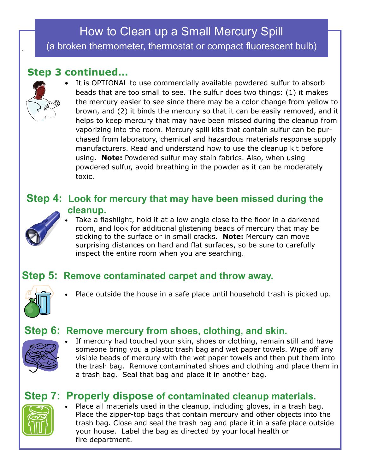# How to Clean up a Small Mercury Spill (a broken thermometer, thermostat or compact fluorescent bulb)

### **Step 3 continued…**



.

 the mercury easier to see since there may be a color change from yellow to brown, and (2) it binds the mercury so that it can be easily removed, and it helps to keep mercury that may have been missed during the cleanup from using. **Note:** Powdered sulfur may stain fabrics. Also, when using powdered sulfur, avoid breathing in the powder as it can be moderately It is OPTIONAL to use commercially available powdered sulfur to absorb beads that are too small to see. The sulfur does two things: (1) it makes vaporizing into the room. Mercury spill kits that contain sulfur can be purchased from laboratory, chemical and hazardous materials response supply manufacturers. Read and understand how to use the cleanup kit before toxic.

#### **Step 4: Look for mercury that may have been missed during the cleanup.**



 sticking to the surface or in small cracks. **Note:** Mercury can move surprising distances on hard and flat surfaces, so be sure to carefully Take a flashlight, hold it at a low angle close to the floor in a darkened room, and look for additional glistening beads of mercury that may be inspect the entire room when you are searching.

#### **Step 5: Remove contaminated carpet and throw away.**



Place outside the house in a safe place until household trash is picked up.

#### **Step 6: Remove mercury from shoes, clothing, and skin.**



 someone bring you a plastic trash bag and wet paper towels. Wipe off any visible beads of mercury with the wet paper towels and then put them into the trash bag. Remove contaminated shoes and clothing and place them in a trash bag. Seal that bag and place it in another bag. If mercury had touched your skin, shoes or clothing, remain still and have

### **Step 7: Properly dispose of contaminated cleanup materials.**



 Place the zipper-top bags that contain mercury and other objects into the trash bag. Close and seal the trash bag and place it in a safe place outside your house. Label the bag as directed by your local health or Place all materials used in the cleanup, including gloves, in a trash bag. fire department.